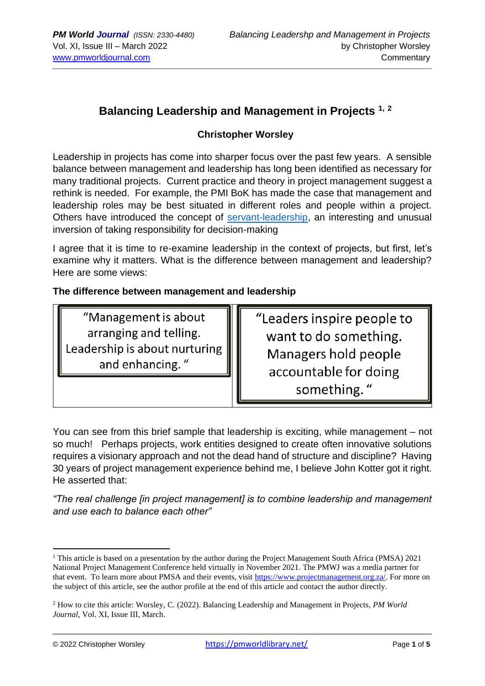## **Balancing Leadership and Management in Projects 1, <sup>2</sup>**

### **Christopher Worsley**

Leadership in projects has come into sharper focus over the past few years. A sensible balance between management and leadership has long been identified as necessary for many traditional projects. Current practice and theory in project management suggest a rethink is needed. For example, the PMI BoK has made the case that management and leadership roles may be best situated in different roles and people within a project. Others have introduced the concept of [servant-leadership,](https://www.forbes.com/sites/forbescoachescouncil/2020/03/11/traditional-leadership-vs-servant-leadership/?sh=6716058451e6) an interesting and unusual inversion of taking responsibility for decision-making

I agree that it is time to re-examine leadership in the context of projects, but first, let's examine why it matters. What is the difference between management and leadership? Here are some views:

#### **The difference between management and leadership**

"Management is about arranging and telling. Leadership is about nurturing and enhancing."

"Leaders inspire people to want to do something. Managers hold people accountable for doing something."

You can see from this brief sample that leadership is exciting, while management – not so much! Perhaps projects, work entities designed to create often innovative solutions requires a visionary approach and not the dead hand of structure and discipline? Having 30 years of project management experience behind me, I believe John Kotter got it right. He asserted that:

*"The real challenge [in project management] is to combine leadership and management and use each to balance each other"*

<sup>&</sup>lt;sup>1</sup> This article is based on a presentation by the author during the Project Management South Africa (PMSA) 2021 National Project Management Conference held virtually in November 2021. The PMWJ was a media partner for that event. To learn more about PMSA and their events, visit [https://www.projectmanagement.org.za/.](https://www.projectmanagement.org.za/) For more on the subject of this article, see the author profile at the end of this article and contact the author directly.

<sup>2</sup> How to cite this article: Worsley, C. (2022). Balancing Leadership and Management in Projects, *PM World Journal*, Vol. XI, Issue III, March.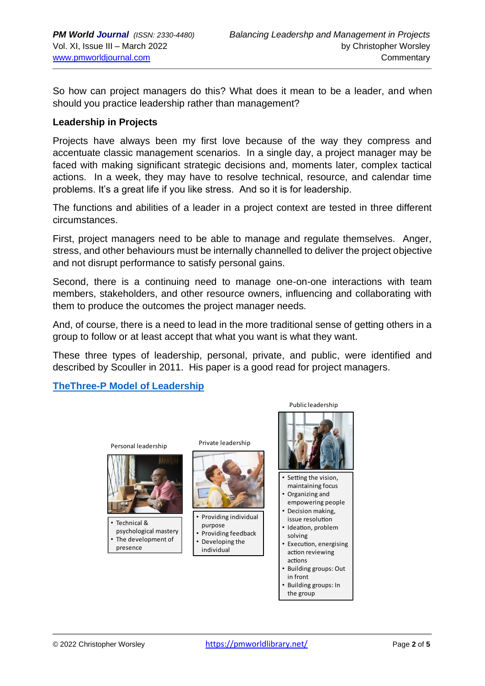So how can project managers do this? What does it mean to be a leader, and when should you practice leadership rather than management?

#### **Leadership in Projects**

Projects have always been my first love because of the way they compress and accentuate classic management scenarios. In a single day, a project manager may be faced with making significant strategic decisions and, moments later, complex tactical actions. In a week, they may have to resolve technical, resource, and calendar time problems. It's a great life if you like stress. And so it is for leadership.

The functions and abilities of a leader in a project context are tested in three different circumstances.

First, project managers need to be able to manage and regulate themselves. Anger, stress, and other behaviours must be internally channelled to deliver the project objective and not disrupt performance to satisfy personal gains.

Second, there is a continuing need to manage one-on-one interactions with team members, stakeholders, and other resource owners, influencing and collaborating with them to produce the outcomes the project manager needs.

And, of course, there is a need to lead in the more traditional sense of getting others in a group to follow or at least accept that what you want is what they want.

These three types of leadership, personal, private, and public, were identified and described by Scouller in 2011. His paper is a good read for project managers.

**[TheThree-P Model of Leadership](https://www.businessballs.com/leadership-models/integrated-psychological-leadership-models/)**

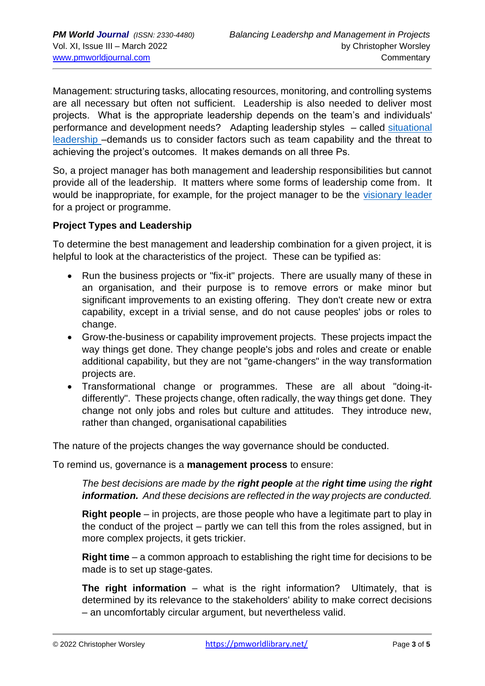Management: structuring tasks, allocating resources, monitoring, and controlling systems are all necessary but often not sufficient. Leadership is also needed to deliver most projects. What is the appropriate leadership depends on the team's and individuals' performance and development needs? Adapting leadership styles – called situational [leadership](https://situational.com/blog/the-four-leadership-styles-of-situational-leadership/) –demands us to consider factors such as team capability and the threat to achieving the project's outcomes. It makes demands on all three Ps.

So, a project manager has both management and leadership responsibilities but cannot provide all of the leadership. It matters where some forms of leadership come from. It would be inappropriate, for example, for the project manager to be the [visionary leader](https://hbr.org/2019/04/you-dont-have-to-be-ceo-to-be-a-visionary-leader) for a project or programme.

#### **Project Types and Leadership**

To determine the best management and leadership combination for a given project, it is helpful to look at the characteristics of the project. These can be typified as:

- Run the business projects or "fix-it" projects. There are usually many of these in an organisation, and their purpose is to remove errors or make minor but significant improvements to an existing offering. They don't create new or extra capability, except in a trivial sense, and do not cause peoples' jobs or roles to change.
- Grow-the-business or capability improvement projects. These projects impact the way things get done. They change people's jobs and roles and create or enable additional capability, but they are not "game-changers" in the way transformation projects are.
- Transformational change or programmes. These are all about "doing-itdifferently". These projects change, often radically, the way things get done. They change not only jobs and roles but culture and attitudes. They introduce new, rather than changed, organisational capabilities

The nature of the projects changes the way governance should be conducted.

To remind us, governance is a **management process** to ensure:

*The best decisions are made by the right people at the right time using the right information. And these decisions are reflected in the way projects are conducted.*

**Right people** – in projects, are those people who have a legitimate part to play in the conduct of the project – partly we can tell this from the roles assigned, but in more complex projects, it gets trickier.

**Right time** – a common approach to establishing the right time for decisions to be made is to set up stage-gates.

**The right information** – what is the right information? Ultimately, that is determined by its relevance to the stakeholders' ability to make correct decisions – an uncomfortably circular argument, but nevertheless valid.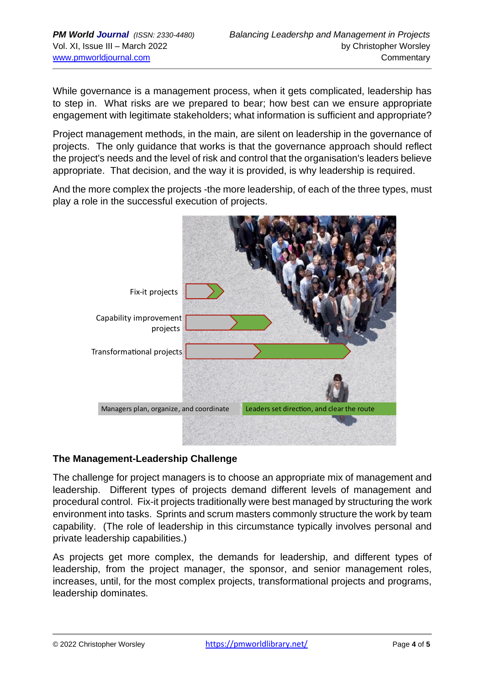While governance is a management process, when it gets complicated, leadership has to step in. What risks are we prepared to bear; how best can we ensure appropriate engagement with legitimate stakeholders; what information is sufficient and appropriate?

Project management methods, in the main, are silent on leadership in the governance of projects. The only guidance that works is that the governance approach should reflect the project's needs and the level of risk and control that the organisation's leaders believe appropriate. That decision, and the way it is provided, is why leadership is required.

And the more complex the projects -the more leadership, of each of the three types, must play a role in the successful execution of projects.



### **The Management-Leadership Challenge**

The challenge for project managers is to choose an appropriate mix of management and leadership. Different types of projects demand different levels of management and procedural control. Fix-it projects traditionally were best managed by structuring the work environment into tasks. Sprints and scrum masters commonly structure the work by team capability. (The role of leadership in this circumstance typically involves personal and private leadership capabilities.)

As projects get more complex, the demands for leadership, and different types of leadership, from the project manager, the sponsor, and senior management roles, increases, until, for the most complex projects, transformational projects and programs, leadership dominates.